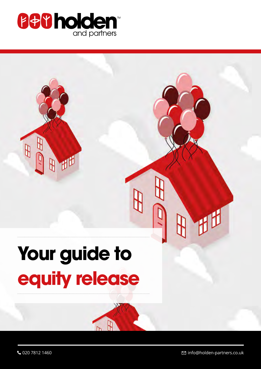

# **Your guide to equity release**

đ

₽

 $\mathbb{B}$ 

 $\bigcup$  020 7812 1460 info@holden-partners.co.uk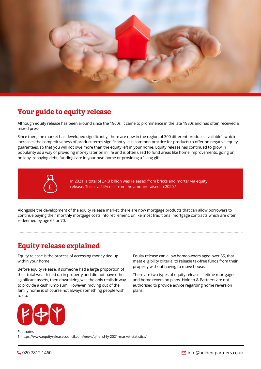

# **Your guide to equity release**

Although equity release has been around since the 1960s, it came to prominence in the late 1980s and has often received a mixed press.

Since then, the market has developed significantly; there are now in the region of 300 different products available<sup>1</sup>, which increases the competitiveness of product terms significantly. It is common practice for products to offer no negative equity guarantees, so that you will not owe more than the equity left in your home. Equity release has continued to grow in popularity as a way of providing money later on in life and is often used to fund areas like home improvements, going on holiday, repaying debt, funding care in your own home or providing a 'living gift'.



In 2021, a total of £4.8 billion was released from bricks and mortar via equity release. This is a 24% rise from the amount raised in 2020.<sup>1</sup>

Alongside the development of the equity release market, there are now mortgage products that can allow borrowers to continue paying their monthly mortgage costs into retirement, unlike most traditional mortgage contracts which are often redeemed by age 65 or 70.

# **Equity release explained**

Equity release is the process of accessing money tied up within your home.

Before equity release, if someone had a large proportion of their total wealth tied up in property and did not have other significant assets, then downsizing was the only realistic way to provide a cash lump sum. However, moving out of the family home is of course not always something people wish to do.

Equity release can allow homeowners aged over 55, that meet eligibility criteria, to release tax-free funds from their property without having to move house.

There are two types of equity release: lifetime mortgages and home reversion plans. Holden & Partners are not authorised to provide advice regarding home reversion plans.



Footnotes 1. https://www.equityreleasecouncil.com/news/q4-and-fy-2021-market-statistics/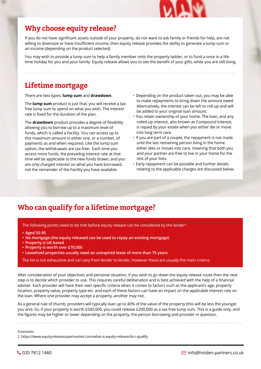

# **Why choose equity release?**

If you do not have significant assets outside of your property, do not want to ask family or friends for help, are not willing to downsize or have insufficient income, then equity release provides the ability to generate a lump sum or an income (depending on the product selected).

You may wish to provide a lump sum to help a family member onto the property ladder, or to fund a once in a lifetime holiday for you and your family. Equity release allows you to see the benefit of your gifts, while you are still living.

# **Lifetime mortgage**

There are two types: **lump sum** and **drawdown**.

The **lump sum** product is just that; you will receive a taxfree lump sum to spend on what you wish. The interest rate is fixed for the duration of the plan.

The **drawdown** product provides a degree of flexibility allowing you to borrow up to a maximum level of funds, which is called a Facility. You can access up to this maximum amount in either one, or a number, of payments as and when required. Like the lump sum option, the withdrawals are tax-free. Each time you access more funds, the prevailing interest rate at that time will be applicable to the new funds drawn, and you are only charged interest on what you have borrowed, not the remainder of the Facility you have available.

- Depending on the product taken out, you may be able to make repayments to bring down the amount owed. Alternatively, the interest can be left to roll-up and will be added to your original loan amount.
- You retain ownership of your home. The loan, and any rolled-up interest, also known as Compound Interest, is repaid by your estate when you either die or move into long term care.
- If you are part of a couple, the repayment is not made until the last remaining person living in the home either dies or moves into care, meaning that both you and your partner are free to live in your home for the rest of your lives.
- Early repayment can be possible and further details relating to the applicable charges are discussed below.

# **Who can qualify for a lifetime mortgage?**

The following points need to be met before equity release can be considered by the lender $^2$ .

- **• Aged 55-95**
- **• No mortgage (the equity released can be used to repay an existing mortgage)**
- **• Property is UK based**
- **• Property is worth over £70,000**
- **• Leasehold properties usually need an unexpired lease of more than 75 years**

The list is not exhaustive and can vary from lender to lender, however these are usually the main criteria.

After consideration of your objectives and personal situation, if you wish to go down the equity release route then the next step is to decide which provider to use. This requires careful deliberation and is best achieved with the help of a financial adviser. Each provider will have their own specific criteria when it comes to factors such as the applicant's age, property location, property value, property type etc. and each of these factors can have an impact on the applicable interest rate on the loan. Where one provider may accept a property, another may not.

As a general rule of thumb, providers will typically loan up to 40% of the value of the property (this will be less the younger you are). So, if your property is worth £500,000, you could release £200,000 as a tax-free lump sum. This is a guide only, and the figures may be higher or lower depending on the property, the person borrowing and provider in question.

Footnotes

2. https://www.equityreleasesupermarket.com/what-is-equity-release/do-i-qualify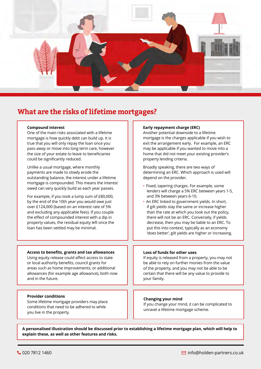

# **What are the risks of lifetime mortgages?**

#### **Compound interest**

One of the main risks associated with a lifetime mortgage is how quickly debt can build up. It is true that you will only repay the loan once you pass away or move into long term care, however the size of your estate to leave to beneficiaries could be significantly reduced.

Unlike a usual mortgage, where monthly payments are made to slowly erode the outstanding balance, the interest under a lifetime mortgage is compounded. This means the interest owed can very quickly build as each year passes.

For example, if you took a lump sum of £80,000, by the end of the 10th year you would owe just over £124,000 (based on an interest rate of 5% and excluding any applicable fees). If you couple the effect of compounded interest with a dip in property values, the residual equity left once the loan has been settled may be minimal.

#### **Access to benefits, grants and tax allowances**

Using equity release could affect access to state or local authority benefits, council grants for areas such as home improvements, or additional allowances (for example age allowance), both now and in the future.

#### **Provider conditions**

Some lifetime mortgage providers may place conditions that need to be adhered to while you live in the property.

#### **Early repayment charge (ERC)**

Another potential downside to a lifetime mortgage is the charges applicable if you wish to exit the arrangement early. For example, an ERC may be applicable if you wanted to move into a home that did not meet your existing provider's property lending criteria.

Broadly speaking, there are two ways of determining an ERC. Which approach is used will depend on the provider.

- Fixed, tapering charges. For example, some lenders will charge a 5% ERC between years 1-5, and 3% between years 6-10.
- An ERC linked to government yields. In short, if gilt yields stay the same or increase higher than the rate at which you took out the policy, there will not be an ERC. Conversely, if yields decrease, then you may be liable to an ERC. To put this into context, typically as an economy 'does better', gilt yields are higher or increasing.

#### **Loss of funds for other uses**

If equity is released from a property, you may not be able to rely on further monies from the value of the property, and you may not be able to be certain that there will be any value to provide to your family.

#### **Changing your mind**

If you change your mind, it can be complicated to unravel a lifetime mortgage scheme.

**A personalised illustration should be discussed prior to establishing a lifetime mortgage plan, which will help to explain these, as well as other features and risks.**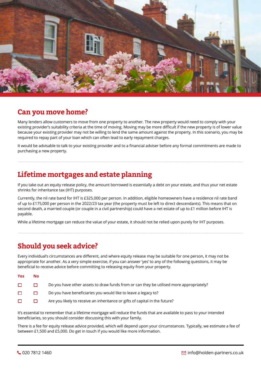

### **Can you move home?**

Many lenders allow customers to move from one property to another. The new property would need to comply with your existing provider's suitability criteria at the time of moving. Moving may be more difficult if the new property is of lower value because your existing provider may not be willing to lend the same amount against the property. In this scenario, you may be required to repay part of your loan which can often lead to early repayment charges.

It would be advisable to talk to your existing provider and to a financial adviser before any formal commitments are made to purchasing a new property.

# **Lifetime mortgages and estate planning**

If you take out an equity release policy, the amount borrowed is essentially a debt on your estate, and thus your net estate shrinks for inheritance tax (IHT) purposes.

Currently, the nil rate band for IHT is £325,000 per person. In addition, eligible homeowners have a residence nil rate band of up to £175,000 per person in the 2022/23 tax year (the property must be left to direct descendants). This means that on second death, a married couple (or couple in a civil partnership) could have a net estate of up to £1 million before IHT is payable.

While a lifetime mortgage can reduce the value of your estate, it should not be relied upon purely for IHT purposes.

# **Should you seek advice?**

Every individual's circumstances are different, and where equity release may be suitable for one person, it may not be appropriate for another. As a very simple exercise, if you can answer 'yes' to any of the following questions, it may be beneficial to receive advice before committing to releasing equity from your property.

| Yes | No.    |                                                                                         |
|-----|--------|-----------------------------------------------------------------------------------------|
| □   |        | Do you have other assets to draw funds from or can they be utilised more appropriately? |
| □   | П      | Do you have beneficiaries you would like to leave a legacy to?                          |
| □   | $\Box$ | Are you likely to receive an inheritance or gifts of capital in the future?             |
|     |        |                                                                                         |

It's essential to remember that a lifetime mortgage will reduce the funds that are available to pass to your intended beneficiaries, so you should consider discussing this with your family.

There is a fee for equity release advice provided, which will depend upon your circumstances. Typically, we estimate a fee of between £1,500 and £5,000. Do get in touch if you would like more information.